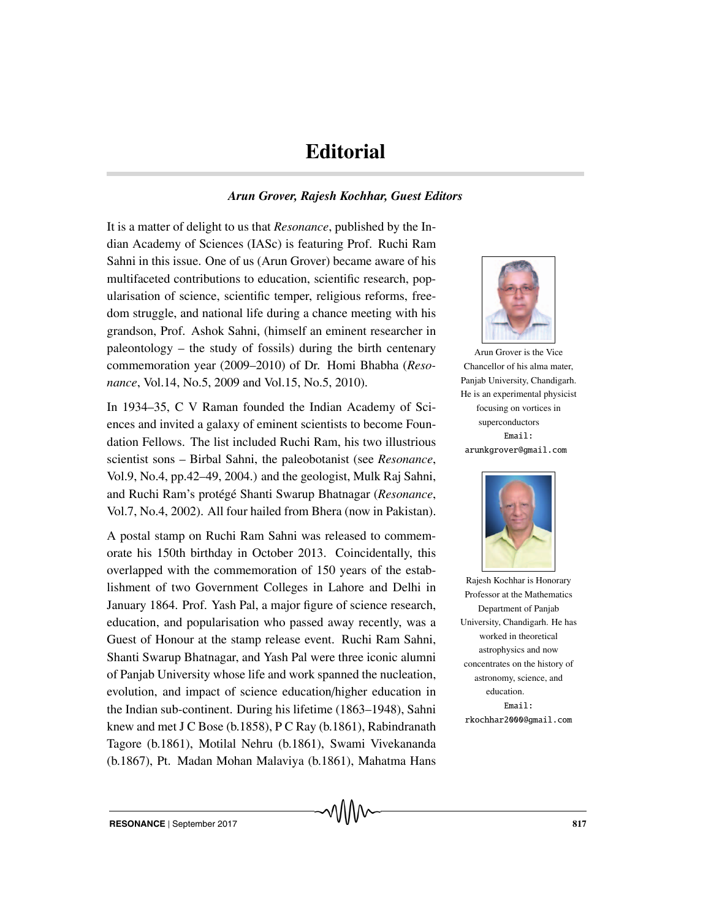## **Editorial**

## *Arun Grover, Rajesh Kochhar, Guest Editors*

It is a matter of delight to us that *Resonance*, published by the Indian Academy of Sciences (IASc) is featuring Prof. Ruchi Ram Sahni in this issue. One of us (Arun Grover) became aware of his multifaceted contributions to education, scientific research, popularisation of science, scientific temper, religious reforms, freedom struggle, and national life during a chance meeting with his grandson, Prof. Ashok Sahni, (himself an eminent researcher in paleontology – the study of fossils) during the birth centenary commemoration year (2009–2010) of Dr. Homi Bhabha (*Resonance*, Vol.14, No.5, 2009 and Vol.15, No.5, 2010).

In 1934–35, C V Raman founded the Indian Academy of Sciences and invited a galaxy of eminent scientists to become Foundation Fellows. The list included Ruchi Ram, his two illustrious scientist sons – Birbal Sahni, the paleobotanist (see *Resonance*, Vol.9, No.4, pp.42–49, 2004.) and the geologist, Mulk Raj Sahni, and Ruchi Ram's protégé Shanti Swarup Bhatnagar (Resonance, Vol.7, No.4, 2002). All four hailed from Bhera (now in Pakistan).

A postal stamp on Ruchi Ram Sahni was released to commemorate his 150th birthday in October 2013. Coincidentally, this overlapped with the commemoration of 150 years of the establishment of two Government Colleges in Lahore and Delhi in January 1864. Prof. Yash Pal, a major figure of science research, education, and popularisation who passed away recently, was a Guest of Honour at the stamp release event. Ruchi Ram Sahni, Shanti Swarup Bhatnagar, and Yash Pal were three iconic alumni of Panjab University whose life and work spanned the nucleation, evolution, and impact of science education/higher education in the Indian sub-continent. During his lifetime (1863–1948), Sahni knew and met J C Bose (b.1858), P C Ray (b.1861), Rabindranath Tagore (b.1861), Motilal Nehru (b.1861), Swami Vivekananda (b.1867), Pt. Madan Mohan Malaviya (b.1861), Mahatma Hans

᠕᠕᠕᠕



Arun Grover is the Vice Chancellor of his alma mater, Panjab University, Chandigarh. He is an experimental physicist focusing on vortices in superconductors Email: arunkgrover@gmail.com



Rajesh Kochhar is Honorary Professor at the Mathematics Department of Panjab University, Chandigarh. He has worked in theoretical astrophysics and now concentrates on the history of astronomy, science, and education. Email: rkochhar2000@gmail.com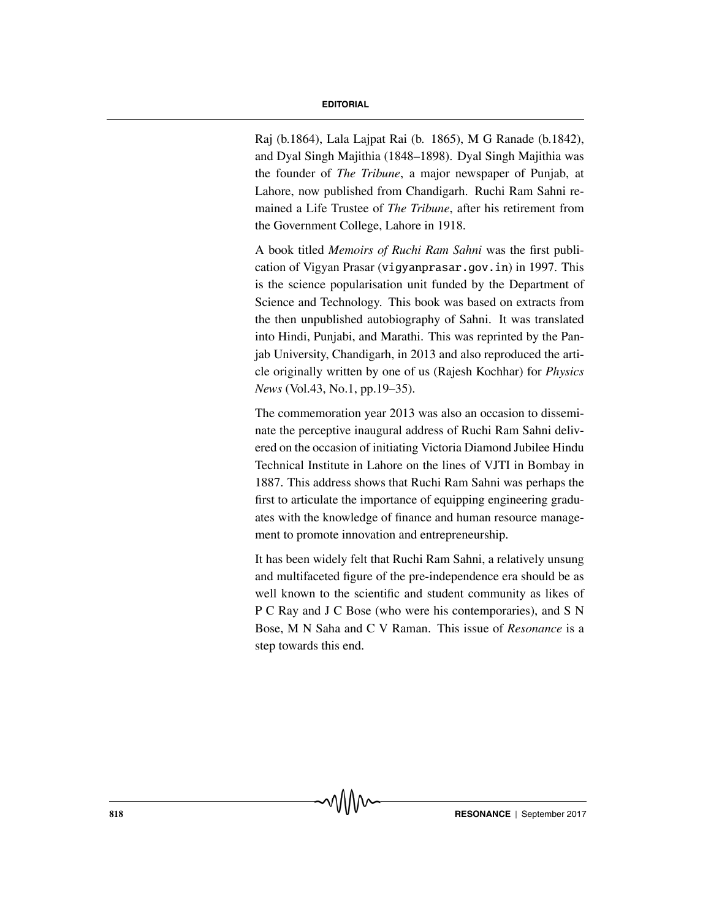## **EDITORIAL**

Raj (b.1864), Lala Lajpat Rai (b. 1865), M G Ranade (b.1842), and Dyal Singh Majithia (1848–1898). Dyal Singh Majithia was the founder of *The Tribune*, a major newspaper of Punjab, at Lahore, now published from Chandigarh. Ruchi Ram Sahni remained a Life Trustee of *The Tribune*, after his retirement from the Government College, Lahore in 1918.

A book titled *Memoirs of Ruchi Ram Sahni* was the first publication of Vigyan Prasar (vigyanprasar.gov.in) in 1997. This is the science popularisation unit funded by the Department of Science and Technology. This book was based on extracts from the then unpublished autobiography of Sahni. It was translated into Hindi, Punjabi, and Marathi. This was reprinted by the Panjab University, Chandigarh, in 2013 and also reproduced the article originally written by one of us (Rajesh Kochhar) for *Physics News* (Vol.43, No.1, pp.19–35).

The commemoration year 2013 was also an occasion to disseminate the perceptive inaugural address of Ruchi Ram Sahni delivered on the occasion of initiating Victoria Diamond Jubilee Hindu Technical Institute in Lahore on the lines of VJTI in Bombay in 1887. This address shows that Ruchi Ram Sahni was perhaps the first to articulate the importance of equipping engineering graduates with the knowledge of finance and human resource management to promote innovation and entrepreneurship.

It has been widely felt that Ruchi Ram Sahni, a relatively unsung and multifaceted figure of the pre-independence era should be as well known to the scientific and student community as likes of P C Ray and J C Bose (who were his contemporaries), and S N Bose, M N Saha and C V Raman. This issue of *Resonance* is a step towards this end.